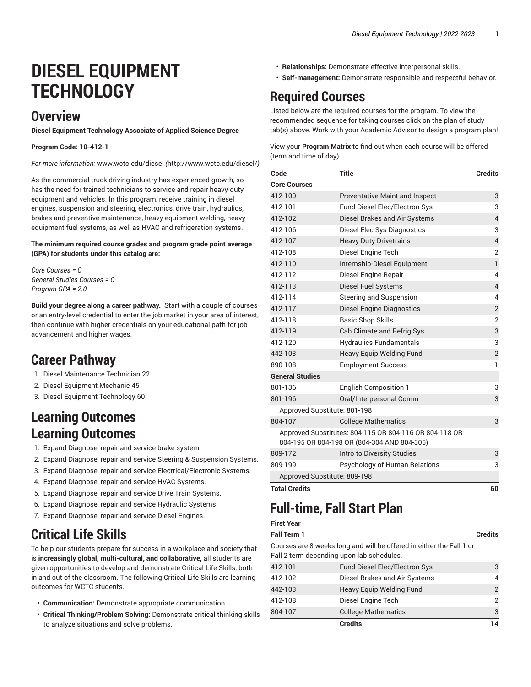# **DIESEL EQUIPMENT TECHNOLOGY**

### **Overview**

**Diesel Equipment Technology Associate of Applied Science Degree**

#### **Program Code: 10-412-1**

*For more information:* [www.wctc.edu/diesel](http://www.wctc.edu/diesel/) *(*<http://www.wctc.edu/diesel/>*)*

As the commercial truck driving industry has experienced growth, so has the need for trained technicians to service and repair heavy-duty equipment and vehicles. In this program, receive training in diesel engines, suspension and steering, electronics, drive train, hydraulics, brakes and preventive maintenance, heavy equipment welding, heavy equipment fuel systems, as well as HVAC and refrigeration systems.

#### **The minimum required course grades and program grade point average (GPA) for students under this catalog are:**

*Core Courses = C General Studies Courses = C-Program GPA = 2.0*

**Build your degree along a career pathway.** Start with a couple of courses or an entry-level credential to enter the job market in your area of interest, then continue with higher credentials on your educational path for job advancement and higher wages.

## **Career Pathway**

- 1. Diesel Maintenance Technician 22
- 2. Diesel Equipment Mechanic 45
- 3. Diesel Equipment Technology 60

## **Learning Outcomes Learning Outcomes**

- 1. Expand Diagnose, repair and service brake system.
- 2. Expand Diagnose, repair and service Steering & Suspension Systems.
- 3. Expand Diagnose, repair and service Electrical/Electronic Systems.
- 4. Expand Diagnose, repair and service HVAC Systems.
- 5. Expand Diagnose, repair and service Drive Train Systems.
- 6. Expand Diagnose, repair and service Hydraulic Systems.
- 7. Expand Diagnose, repair and service Diesel Engines.

# **Critical Life Skills**

To help our students prepare for success in a workplace and society that is **increasingly global, multi-cultural, and collaborative,** all students are given opportunities to develop and demonstrate Critical Life Skills, both in and out of the classroom. The following Critical Life Skills are learning outcomes for WCTC students.

- **Communication:** Demonstrate appropriate communication.
- **Critical Thinking/Problem Solving:** Demonstrate critical thinking skills to analyze situations and solve problems.
- **Relationships:** Demonstrate effective interpersonal skills.
- **Self-management:** Demonstrate responsible and respectful behavior.

# **Required Courses**

Listed below are the required courses for the program. To view the recommended sequence for taking courses click on the plan of study tab(s) above. Work with your Academic Advisor to design a program plan!

View your **Program Matrix** to find out when each course will be offered (term and time of day).

| Code                         | <b>Title</b>                                                                                          | <b>Credits</b> |
|------------------------------|-------------------------------------------------------------------------------------------------------|----------------|
| <b>Core Courses</b>          |                                                                                                       |                |
| 412-100                      | <b>Preventative Maint and Inspect</b>                                                                 | 3              |
| 412-101                      | <b>Fund Diesel Elec/Electron Sys</b>                                                                  | 3              |
| 412-102                      | Diesel Brakes and Air Systems                                                                         | $\overline{4}$ |
| 412-106                      | Diesel Elec Sys Diagnostics                                                                           | 3              |
| 412-107                      | <b>Heavy Duty Drivetrains</b>                                                                         | $\overline{4}$ |
| 412-108                      | Diesel Engine Tech                                                                                    | $\overline{2}$ |
| 412-110                      | Internship-Diesel Equipment                                                                           | $\mathbf{1}$   |
| 412-112                      | Diesel Engine Repair                                                                                  | 4              |
| 412-113                      | Diesel Fuel Systems                                                                                   | $\overline{4}$ |
| 412-114                      | Steering and Suspension                                                                               | 4              |
| 412-117                      | Diesel Engine Diagnostics                                                                             | $\overline{2}$ |
| 412-118                      | <b>Basic Shop Skills</b>                                                                              | $\overline{2}$ |
| 412-119                      | Cab Climate and Refrig Sys                                                                            | 3              |
| 412-120                      | <b>Hydraulics Fundamentals</b>                                                                        | 3              |
| 442-103                      | <b>Heavy Equip Welding Fund</b>                                                                       | $\overline{2}$ |
| 890-108                      | <b>Employment Success</b>                                                                             | 1              |
| <b>General Studies</b>       |                                                                                                       |                |
| 801-136                      | <b>English Composition 1</b>                                                                          | 3              |
| 801-196                      | Oral/Interpersonal Comm                                                                               | 3              |
| Approved Substitute: 801-198 |                                                                                                       |                |
| 804-107                      | <b>College Mathematics</b>                                                                            | 3              |
|                              | Approved Substitutes: 804-115 OR 804-116 OR 804-118 OR<br>804-195 OR 804-198 OR (804-304 AND 804-305) |                |
| 809-172                      | Intro to Diversity Studies                                                                            | 3              |
| 809-199                      | Psychology of Human Relations                                                                         | 3              |
| Approved Substitute: 809-198 |                                                                                                       |                |
| <b>Total Credits</b>         |                                                                                                       | 60             |

# **Full-time, Fall Start Plan**

### **First Year Fall Term 1 Credits**

### Courses are 8 weeks long and will be offered in either the Fall 1 or Fall 2 term depending upon lab schedules.

|         | <b>Credits</b>                | 14            |
|---------|-------------------------------|---------------|
| 804-107 | <b>College Mathematics</b>    | 3             |
| 412-108 | Diesel Engine Tech            | $\mathcal{P}$ |
| 442-103 | Heavy Equip Welding Fund      | $\mathcal{P}$ |
| 412-102 | Diesel Brakes and Air Systems | 4             |
| 412-101 | Fund Diesel Elec/Electron Sys | 3             |
|         |                               |               |